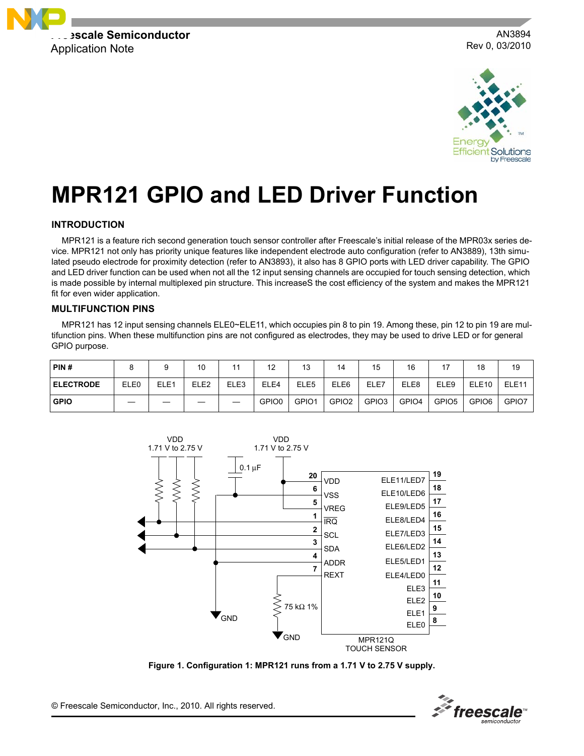

AN3894 Rev 0, 03/2010



# **MPR121 GPIO and LED Driver Function**

# **INTRODUCTION**

MPR121 is a feature rich second generation touch sensor controller after Freescale's initial release of the MPR03x series device. MPR121 not only has priority unique features like independent electrode auto configuration (refer to AN3889), 13th simulated pseudo electrode for proximity detection (refer to AN3893), it also has 8 GPIO ports with LED driver capability. The GPIO and LED driver function can be used when not all the 12 input sensing channels are occupied for touch sensing detection, which is made possible by internal multiplexed pin structure. This increaseS the cost efficiency of the system and makes the MPR121 fit for even wider application.

#### **MULTIFUNCTION PINS**

MPR121 has 12 input sensing channels ELE0~ELE11, which occupies pin 8 to pin 19. Among these, pin 12 to pin 19 are multifunction pins. When these multifunction pins are not configured as electrodes, they may be used to drive LED or for general GPIO purpose.

| PIN#              |      |                  | 10               | 44   | 12    | 13               | 14                | 15                | 16    | $\rightarrow$     | 18                | 19                |
|-------------------|------|------------------|------------------|------|-------|------------------|-------------------|-------------------|-------|-------------------|-------------------|-------------------|
| <b>LELECTRODE</b> | ELE0 | ELE <sub>1</sub> | ELE <sub>2</sub> | ELE3 | ELE4  | ELE <sub>5</sub> | ELE6              | ELE7              | ELE8  | ELE9              | ELE <sub>10</sub> | ELE <sub>11</sub> |
| <b>GPIO</b>       |      |                  |                  |      | GPIO0 | GPIO1            | GPIO <sub>2</sub> | GPIO <sub>3</sub> | GPIO4 | GPIO <sub>5</sub> | GPIO <sub>6</sub> | GPIO7             |



**Figure 1. Configuration 1: MPR121 runs from a 1.71 V to 2.75 V supply.**



© Freescale Semiconductor, Inc., 2010. All rights reserved.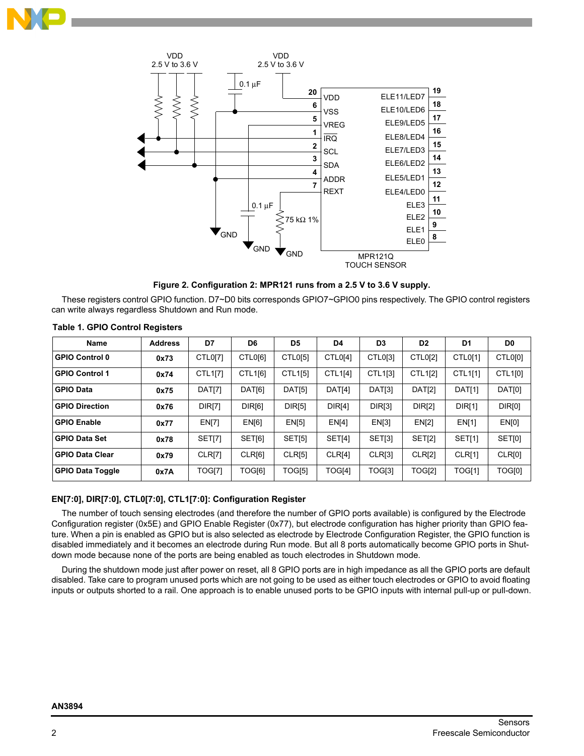



**Figure 2. Configuration 2: MPR121 runs from a 2.5 V to 3.6 V supply.**

These registers control GPIO function. D7~D0 bits corresponds GPIO7~GPIO0 pins respectively. The GPIO control registers can write always regardless Shutdown and Run mode.

| <b>Name</b>             | <b>Address</b> | D7            | D6      | D5            | D <sub>4</sub> | D <sub>3</sub> | D <sub>2</sub> | D <sub>1</sub> | D <sub>0</sub> |
|-------------------------|----------------|---------------|---------|---------------|----------------|----------------|----------------|----------------|----------------|
| <b>GPIO Control 0</b>   | 0x73           | CTL0[7]       | CTL0[6] | CTL0[5]       | CTL0[4]        | CTL0[3]        | CTL0[2]        | CTL0[1]        | CTL0[0]        |
| <b>GPIO Control 1</b>   | 0x74           | CTL1[7]       | CTL1[6] | CTL1[5]       | CTL1[4]        | CTL1[3]        | CTL1[2]        | CTL1[1]        | CTL1[0]        |
| <b>GPIO Data</b>        | 0x75           | DAT[7]        | DAT[6]  | DAT[5]        | DAT[4]         | DAT[3]         | DAT[2]         | <b>DAT[1]</b>  | DAT[0]         |
| <b>GPIO Direction</b>   | 0x76           | <b>DIR[7]</b> | DIR[6]  | <b>DIR[5]</b> | <b>DIR[4]</b>  | DIR[3]         | <b>DIR[2]</b>  | <b>DIR[1]</b>  | DIR[0]         |
| <b>GPIO Enable</b>      | 0x77           | <b>EN[7]</b>  | EN[6]   | EN[5]         | EN[4]          | EN[3]          | EN[2]          | <b>EN[1]</b>   | EN[0]          |
| <b>GPIO Data Set</b>    | 0x78           | SET[7]        | SET[6]  | <b>SET[5]</b> | <b>SET[4]</b>  | SET[3]         | <b>SET[2]</b>  | SET[1]         | SET[0]         |
| <b>GPIO Data Clear</b>  | 0x79           | CLR[7]        | CLR[6]  | CLR[5]        | CLR[4]         | CLR[3]         | CLR[2]         | CLRI1          | CLR[0]         |
| <b>GPIO Data Toggle</b> | 0x7A           | TOG[7]        | TOG[6]  | TOG[5]        | TOG[4]         | TOG[3]         | TOG[2]         | TOG[1]         | TOG[0]         |

#### **Table 1. GPIO Control Registers**

## **EN[7:0], DIR[7:0], CTL0[7:0], CTL1[7:0]: Configuration Register**

The number of touch sensing electrodes (and therefore the number of GPIO ports available) is configured by the Electrode Configuration register (0x5E) and GPIO Enable Register (0x77), but electrode configuration has higher priority than GPIO feature. When a pin is enabled as GPIO but is also selected as electrode by Electrode Configuration Register, the GPIO function is disabled immediately and it becomes an electrode during Run mode. But all 8 ports automatically become GPIO ports in Shutdown mode because none of the ports are being enabled as touch electrodes in Shutdown mode.

During the shutdown mode just after power on reset, all 8 GPIO ports are in high impedance as all the GPIO ports are default disabled. Take care to program unused ports which are not going to be used as either touch electrodes or GPIO to avoid floating inputs or outputs shorted to a rail. One approach is to enable unused ports to be GPIO inputs with internal pull-up or pull-down.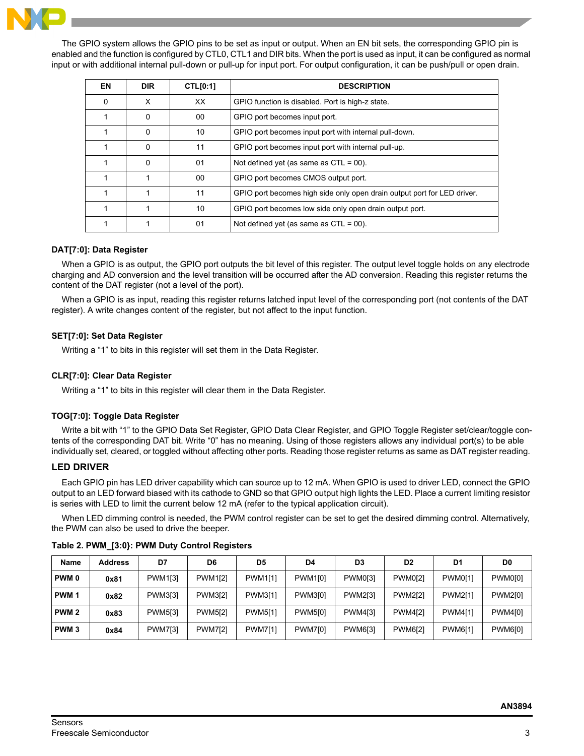

The GPIO system allows the GPIO pins to be set as input or output. When an EN bit sets, the corresponding GPIO pin is enabled and the function is configured by CTL0, CTL1 and DIR bits. When the port is used as input, it can be configured as normal input or with additional internal pull-down or pull-up for input port. For output configuration, it can be push/pull or open drain.

| EN | <b>DIR</b> | <b>CTL[0:1]</b> | <b>DESCRIPTION</b>                                                      |
|----|------------|-----------------|-------------------------------------------------------------------------|
| 0  | X          | XX              | GPIO function is disabled. Port is high-z state.                        |
|    | 0          | 00              | GPIO port becomes input port.                                           |
|    | 0          | 10              | GPIO port becomes input port with internal pull-down.                   |
|    | 0          | 11              | GPIO port becomes input port with internal pull-up.                     |
|    | 0          | 01              | Not defined yet (as same as $CTL = 00$ ).                               |
|    |            | 00              | GPIO port becomes CMOS output port.                                     |
|    |            | 11              | GPIO port becomes high side only open drain output port for LED driver. |
|    |            | 10              | GPIO port becomes low side only open drain output port.                 |
|    |            | 01              | Not defined yet (as same as $CTL = 00$ ).                               |

## **DAT[7:0]: Data Register**

When a GPIO is as output, the GPIO port outputs the bit level of this register. The output level toggle holds on any electrode charging and AD conversion and the level transition will be occurred after the AD conversion. Reading this register returns the content of the DAT register (not a level of the port).

When a GPIO is as input, reading this register returns latched input level of the corresponding port (not contents of the DAT register). A write changes content of the register, but not affect to the input function.

#### **SET[7:0]: Set Data Register**

Writing a "1" to bits in this register will set them in the Data Register.

#### **CLR[7:0]: Clear Data Register**

Writing a "1" to bits in this register will clear them in the Data Register.

#### **TOG[7:0]: Toggle Data Register**

Write a bit with "1" to the GPIO Data Set Register, GPIO Data Clear Register, and GPIO Toggle Register set/clear/toggle contents of the corresponding DAT bit. Write "0" has no meaning. Using of those registers allows any individual port(s) to be able individually set, cleared, or toggled without affecting other ports. Reading those register returns as same as DAT register reading.

# **LED DRIVER**

Each GPIO pin has LED driver capability which can source up to 12 mA. When GPIO is used to driver LED, connect the GPIO output to an LED forward biased with its cathode to GND so that GPIO output high lights the LED. Place a current limiting resistor is series with LED to limit the current below 12 mA (refer to the typical application circuit).

When LED dimming control is needed, the PWM control register can be set to get the desired dimming control. Alternatively, the PWM can also be used to drive the beeper.

| <b>Name</b>      | <b>Address</b> | D7             | D6             | D <sub>5</sub> | D4             | D3             | D <sub>2</sub> | D1             | D0             |
|------------------|----------------|----------------|----------------|----------------|----------------|----------------|----------------|----------------|----------------|
| <b>PWM0</b>      | 0x81           | <b>PWM1[3]</b> | PWM1[2]        | <b>PWM1[1]</b> | <b>PWM1[0]</b> | PWM0[3]        | <b>PWM0[2]</b> | <b>PWM0[1]</b> | PWM0[0]        |
| PWM <sub>1</sub> | 0x82           | <b>PWM3[3]</b> | <b>PWM3[2]</b> | PWM3[1]        | PWM3[0]        | <b>PWM2[3]</b> | <b>PWM2[2]</b> | <b>PWM2[1]</b> | <b>PWM2[0]</b> |
| PWM <sub>2</sub> | 0x83           | <b>PWM5[3]</b> | <b>PWM5[2]</b> | <b>PWM5[1]</b> | <b>PWM5[0]</b> | PWM4[3]        | <b>PWM4[2]</b> | <b>PWM4[1]</b> | PWM4[0]        |
| PWM <sub>3</sub> | 0x84           | <b>PWM7[3]</b> | <b>PWM7[2]</b> | <b>PWM7[1]</b> | <b>PWM7[0]</b> | PWM6[3]        | <b>PWM6[2]</b> | PWM6[1]        | <b>PWM6[0]</b> |

**Table 2. PWM\_[3:0}: PWM Duty Control Registers**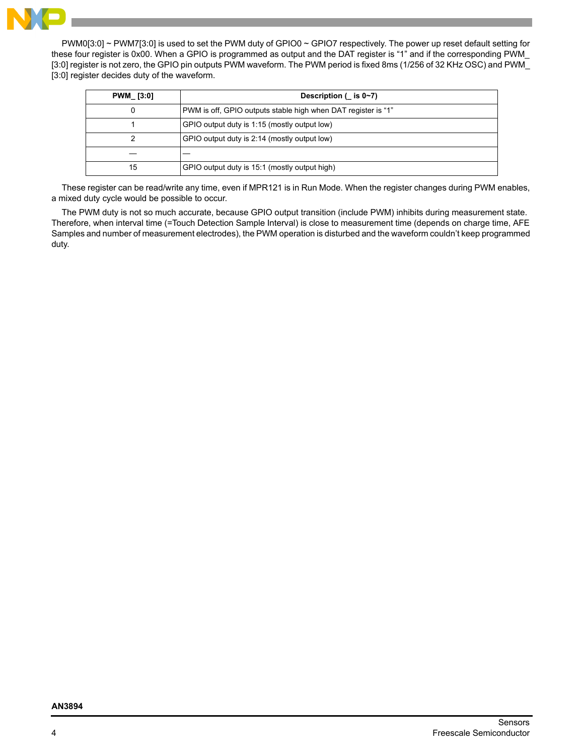

PWM0[3:0] ~ PWM7[3:0] is used to set the PWM duty of GPIO0 ~ GPIO7 respectively. The power up reset default setting for these four register is 0x00. When a GPIO is programmed as output and the DAT register is "1" and if the corresponding PWM\_ [3:0] register is not zero, the GPIO pin outputs PWM waveform. The PWM period is fixed 8ms (1/256 of 32 KHz OSC) and PWM\_ [3:0] register decides duty of the waveform.

| <b>PWM [3:0]</b> | Description $($ is $0\nu$ 7)                                  |
|------------------|---------------------------------------------------------------|
| 0                | PWM is off, GPIO outputs stable high when DAT register is "1" |
|                  | GPIO output duty is 1:15 (mostly output low)                  |
|                  | GPIO output duty is 2:14 (mostly output low)                  |
|                  |                                                               |
| 15               | GPIO output duty is 15:1 (mostly output high)                 |

These register can be read/write any time, even if MPR121 is in Run Mode. When the register changes during PWM enables, a mixed duty cycle would be possible to occur.

The PWM duty is not so much accurate, because GPIO output transition (include PWM) inhibits during measurement state. Therefore, when interval time (=Touch Detection Sample Interval) is close to measurement time (depends on charge time, AFE Samples and number of measurement electrodes), the PWM operation is disturbed and the waveform couldn't keep programmed duty.